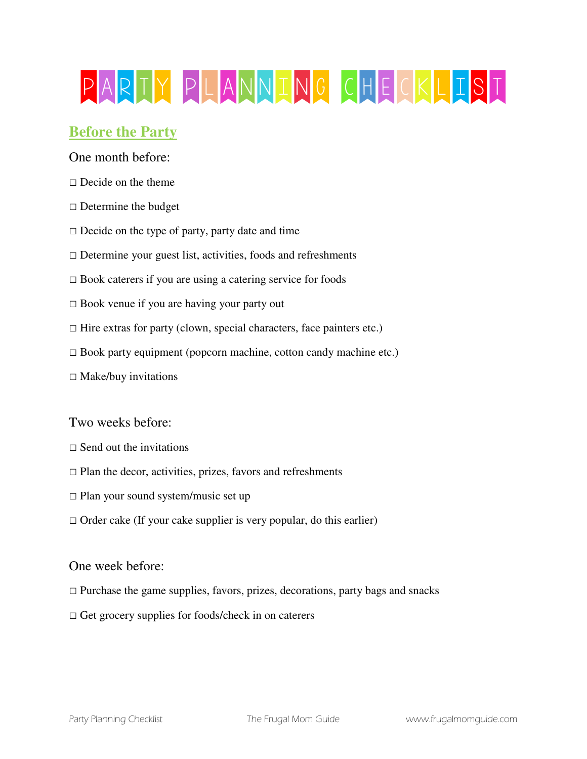# PARTY PLANNING CHECKLIST

## **Before the Party**

One month before:

- $\Box$  Decide on the theme
- $\square$  Determine the budget
- $\Box$  Decide on the type of party, party date and time
- $\square$  Determine your guest list, activities, foods and refreshments
- $\square$  Book caterers if you are using a catering service for foods
- □ Book venue if you are having your party out
- $\Box$  Hire extras for party (clown, special characters, face painters etc.)
- $\square$  Book party equipment (popcorn machine, cotton candy machine etc.)
- $\square$  Make/buy invitations

Two weeks before:

- $\Box$  Send out the invitations
- $\square$  Plan the decor, activities, prizes, favors and refreshments
- $\Box$  Plan your sound system/music set up
- $\Box$  Order cake (If your cake supplier is very popular, do this earlier)

## One week before:

- $\Box$  Purchase the game supplies, favors, prizes, decorations, party bags and snacks
- $\Box$  Get grocery supplies for foods/check in on caterers